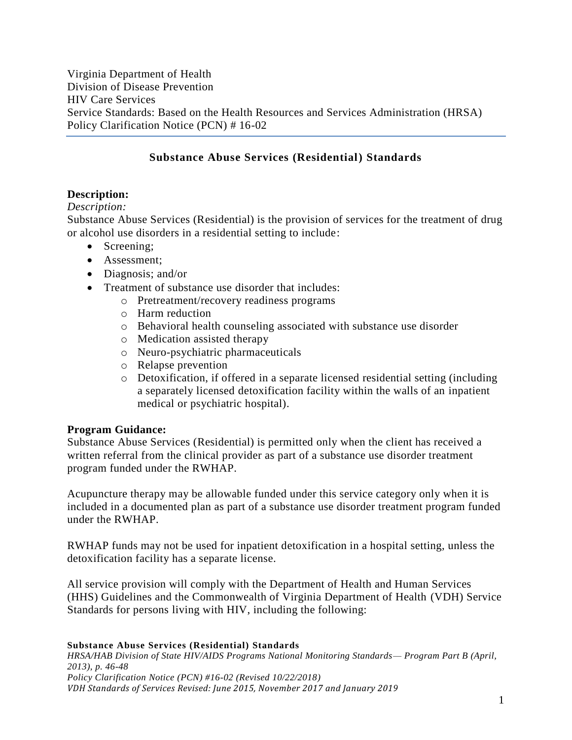Virginia Department of Health Division of Disease Prevention HIV Care Services Service Standards: Based on the Health Resources and Services Administration (HRSA) Policy Clarification Notice (PCN) # 16-02

## **Substance Abuse Services (Residential) Standards**

## **Description:**

## *Description:*

Substance Abuse Services (Residential) is the provision of services for the treatment of drug or alcohol use disorders in a residential setting to include:

- Screening:
- Assessment:
- Diagnosis; and/or
- Treatment of substance use disorder that includes:
	- o Pretreatment/recovery readiness programs
		- o Harm reduction
		- o Behavioral health counseling associated with substance use disorder
		- o Medication assisted therapy
		- o Neuro-psychiatric pharmaceuticals
		- o Relapse prevention
		- o Detoxification, if offered in a separate licensed residential setting (including a separately licensed detoxification facility within the walls of an inpatient medical or psychiatric hospital).

## **Program Guidance:**

Substance Abuse Services (Residential) is permitted only when the client has received a written referral from the clinical provider as part of a substance use disorder treatment program funded under the RWHAP.

Acupuncture therapy may be allowable funded under this service category only when it is included in a documented plan as part of a substance use disorder treatment program funded under the RWHAP.

RWHAP funds may not be used for inpatient detoxification in a hospital setting, unless the detoxification facility has a separate license.

All service provision will comply with the Department of Health and Human Services (HHS) Guidelines and the Commonwealth of Virginia Department of Health (VDH) Service Standards for persons living with HIV, including the following:

#### **Substance Abuse Services (Residential) Standards** *HRSA/HAB Division of State HIV/AIDS Programs National Monitoring Standards— Program Part B (April, 2013), p. 46-48*

*Policy Clarification Notice (PCN) #16-02 (Revised 10/22/2018) VDH Standards of Services Revised: June 2015, November 2017 and January 2019*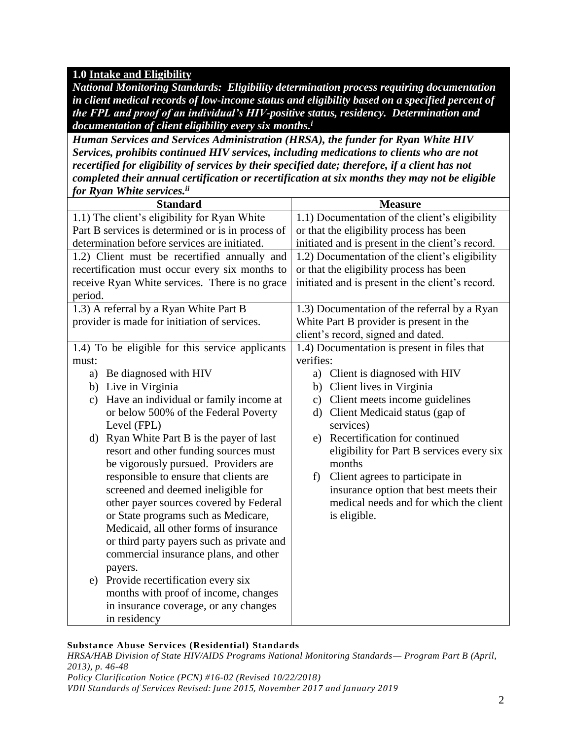## **1.0 Intake and Eligibility**

*National Monitoring Standards: Eligibility determination process requiring documentation in client medical records of low-income status and eligibility based on a specified percent of the FPL and proof of an individual's HIV-positive status, residency. Determination and documentation of client eligibility every six months.<sup>i</sup>*

*Human Services and Services Administration (HRSA), the funder for Ryan White HIV Services, prohibits continued HIV services, including medications to clients who are not recertified for eligibility of services by their specified date; therefore, if a client has not completed their annual certification or recertification at six months they may not be eligible for Ryan White services.ii*

| <b>Standard</b>                                         | <b>Measure</b>                                   |
|---------------------------------------------------------|--------------------------------------------------|
| 1.1) The client's eligibility for Ryan White            | 1.1) Documentation of the client's eligibility   |
| Part B services is determined or is in process of       | or that the eligibility process has been         |
| determination before services are initiated.            | initiated and is present in the client's record. |
| 1.2) Client must be recertified annually and            | 1.2) Documentation of the client's eligibility   |
| recertification must occur every six months to          | or that the eligibility process has been         |
| receive Ryan White services. There is no grace          | initiated and is present in the client's record. |
| period.                                                 |                                                  |
| 1.3) A referral by a Ryan White Part B                  | 1.3) Documentation of the referral by a Ryan     |
| provider is made for initiation of services.            | White Part B provider is present in the          |
|                                                         | client's record, signed and dated.               |
| 1.4) To be eligible for this service applicants         | 1.4) Documentation is present in files that      |
| must:                                                   | verifies:                                        |
| Be diagnosed with HIV<br>a)                             | a) Client is diagnosed with HIV                  |
| b) Live in Virginia                                     | Client lives in Virginia<br>b)                   |
| Have an individual or family income at<br>$\mathbf{c})$ | Client meets income guidelines<br>$\mathbf{c})$  |
| or below 500% of the Federal Poverty                    | d) Client Medicaid status (gap of                |
| Level (FPL)                                             | services)                                        |
| Ryan White Part B is the payer of last<br>d)            | e) Recertification for continued                 |
| resort and other funding sources must                   | eligibility for Part B services every six        |
| be vigorously pursued. Providers are                    | months                                           |
| responsible to ensure that clients are                  | Client agrees to participate in<br>f)            |
| screened and deemed ineligible for                      | insurance option that best meets their           |
| other payer sources covered by Federal                  | medical needs and for which the client           |
| or State programs such as Medicare,                     | is eligible.                                     |
| Medicaid, all other forms of insurance                  |                                                  |
| or third party payers such as private and               |                                                  |
| commercial insurance plans, and other                   |                                                  |
| payers.                                                 |                                                  |
| Provide recertification every six<br>e)                 |                                                  |
| months with proof of income, changes                    |                                                  |
| in insurance coverage, or any changes                   |                                                  |
| in residency                                            |                                                  |

## **Substance Abuse Services (Residential) Standards**

*HRSA/HAB Division of State HIV/AIDS Programs National Monitoring Standards— Program Part B (April, 2013), p. 46-48 Policy Clarification Notice (PCN) #16-02 (Revised 10/22/2018)*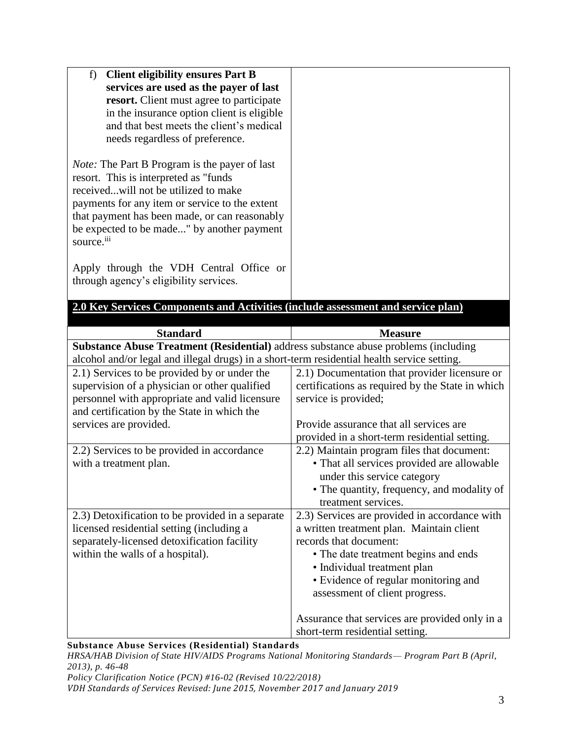| f)<br><b>Client eligibility ensures Part B</b>                                                                                                                                     |                                                                                             |
|------------------------------------------------------------------------------------------------------------------------------------------------------------------------------------|---------------------------------------------------------------------------------------------|
| services are used as the payer of last                                                                                                                                             |                                                                                             |
| resort. Client must agree to participate<br>in the insurance option client is eligible                                                                                             |                                                                                             |
| and that best meets the client's medical                                                                                                                                           |                                                                                             |
| needs regardless of preference.                                                                                                                                                    |                                                                                             |
|                                                                                                                                                                                    |                                                                                             |
| <i>Note:</i> The Part B Program is the payer of last<br>resort. This is interpreted as "funds                                                                                      |                                                                                             |
| receivedwill not be utilized to make                                                                                                                                               |                                                                                             |
| payments for any item or service to the extent                                                                                                                                     |                                                                                             |
| that payment has been made, or can reasonably<br>be expected to be made" by another payment                                                                                        |                                                                                             |
| source. <sup>iii</sup>                                                                                                                                                             |                                                                                             |
|                                                                                                                                                                                    |                                                                                             |
| Apply through the VDH Central Office or                                                                                                                                            |                                                                                             |
| through agency's eligibility services.                                                                                                                                             |                                                                                             |
| 2.0 Key Services Components and Activities (include assessment and service plan)                                                                                                   |                                                                                             |
|                                                                                                                                                                                    |                                                                                             |
| <b>Standard</b>                                                                                                                                                                    | <b>Measure</b>                                                                              |
| Substance Abuse Treatment (Residential) address substance abuse problems (including<br>alcohol and/or legal and illegal drugs) in a short-term residential health service setting. |                                                                                             |
| 2.1) Services to be provided by or under the                                                                                                                                       | 2.1) Documentation that provider licensure or                                               |
| supervision of a physician or other qualified                                                                                                                                      | certifications as required by the State in which                                            |
| personnel with appropriate and valid licensure                                                                                                                                     | service is provided;                                                                        |
| and certification by the State in which the                                                                                                                                        |                                                                                             |
| services are provided.                                                                                                                                                             | Provide assurance that all services are                                                     |
| 2.2) Services to be provided in accordance                                                                                                                                         | provided in a short-term residential setting.<br>2.2) Maintain program files that document: |
| with a treatment plan.                                                                                                                                                             | • That all services provided are allowable                                                  |
|                                                                                                                                                                                    | under this service category                                                                 |
|                                                                                                                                                                                    | • The quantity, frequency, and modality of                                                  |
|                                                                                                                                                                                    | treatment services.                                                                         |
| 2.3) Detoxification to be provided in a separate                                                                                                                                   | 2.3) Services are provided in accordance with                                               |
| licensed residential setting (including a<br>separately-licensed detoxification facility                                                                                           | a written treatment plan. Maintain client<br>records that document:                         |
| within the walls of a hospital).                                                                                                                                                   | • The date treatment begins and ends                                                        |
|                                                                                                                                                                                    | · Individual treatment plan                                                                 |
|                                                                                                                                                                                    | • Evidence of regular monitoring and                                                        |
|                                                                                                                                                                                    | assessment of client progress.                                                              |
|                                                                                                                                                                                    |                                                                                             |
|                                                                                                                                                                                    | Assurance that services are provided only in a                                              |

*HRSA/HAB Division of State HIV/AIDS Programs National Monitoring Standards— Program Part B (April, 2013), p. 46-48*

*Policy Clarification Notice (PCN) #16-02 (Revised 10/22/2018)*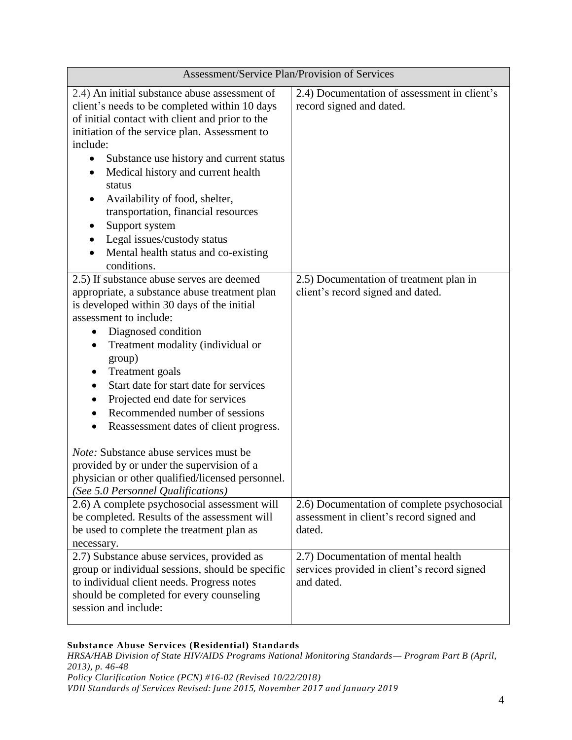| Assessment/Service Plan/Provision of Services                                                                                                                                                                                                                                                                                                                                                                                                                                               |                                                                                                   |  |
|---------------------------------------------------------------------------------------------------------------------------------------------------------------------------------------------------------------------------------------------------------------------------------------------------------------------------------------------------------------------------------------------------------------------------------------------------------------------------------------------|---------------------------------------------------------------------------------------------------|--|
| 2.4) An initial substance abuse assessment of<br>client's needs to be completed within 10 days<br>of initial contact with client and prior to the<br>initiation of the service plan. Assessment to<br>include:<br>Substance use history and current status<br>Medical history and current health<br>status<br>Availability of food, shelter,<br>transportation, financial resources<br>Support system<br>Legal issues/custody status<br>Mental health status and co-existing<br>conditions. | 2.4) Documentation of assessment in client's<br>record signed and dated.                          |  |
| 2.5) If substance abuse serves are deemed<br>appropriate, a substance abuse treatment plan<br>is developed within 30 days of the initial<br>assessment to include:<br>Diagnosed condition<br>$\bullet$<br>Treatment modality (individual or<br>group)<br><b>Treatment</b> goals<br>Start date for start date for services<br>Projected end date for services<br>Recommended number of sessions<br>Reassessment dates of client progress.                                                    | 2.5) Documentation of treatment plan in<br>client's record signed and dated.                      |  |
| Note: Substance abuse services must be<br>provided by or under the supervision of a<br>physician or other qualified/licensed personnel.<br>(See 5.0 Personnel Qualifications)                                                                                                                                                                                                                                                                                                               |                                                                                                   |  |
| 2.6) A complete psychosocial assessment will<br>be completed. Results of the assessment will<br>be used to complete the treatment plan as<br>necessary.                                                                                                                                                                                                                                                                                                                                     | 2.6) Documentation of complete psychosocial<br>assessment in client's record signed and<br>dated. |  |
| 2.7) Substance abuse services, provided as<br>group or individual sessions, should be specific<br>to individual client needs. Progress notes<br>should be completed for every counseling<br>session and include:                                                                                                                                                                                                                                                                            | 2.7) Documentation of mental health<br>services provided in client's record signed<br>and dated.  |  |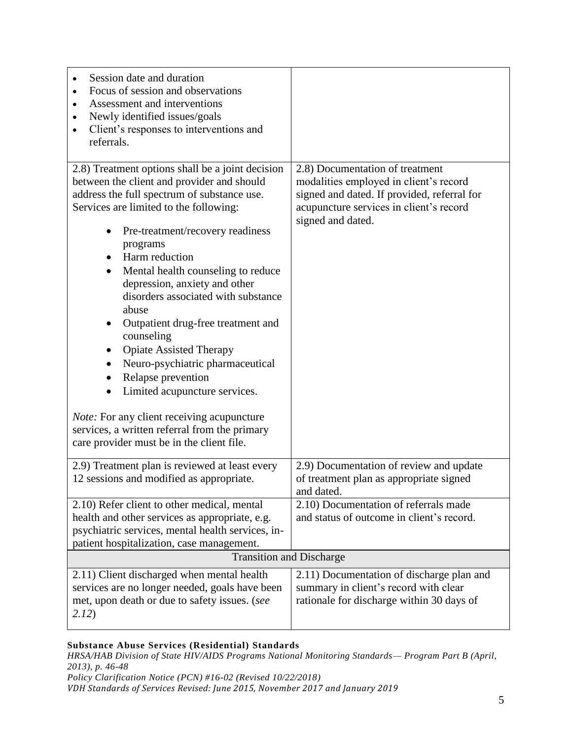| Session date and duration<br>Focus of session and observations<br>$\bullet$<br>Assessment and interventions<br>$\bullet$<br>Newly identified issues/goals<br>$\bullet$<br>Client's responses to interventions and<br>$\bullet$<br>referrals.                                                                                                                                                                                                                                                                                                                                                                                                                                                                                                                                          |                                                                                                                                                                                          |
|---------------------------------------------------------------------------------------------------------------------------------------------------------------------------------------------------------------------------------------------------------------------------------------------------------------------------------------------------------------------------------------------------------------------------------------------------------------------------------------------------------------------------------------------------------------------------------------------------------------------------------------------------------------------------------------------------------------------------------------------------------------------------------------|------------------------------------------------------------------------------------------------------------------------------------------------------------------------------------------|
| 2.8) Treatment options shall be a joint decision<br>between the client and provider and should<br>address the full spectrum of substance use.<br>Services are limited to the following:<br>Pre-treatment/recovery readiness<br>programs<br>Harm reduction<br>$\bullet$<br>Mental health counseling to reduce<br>$\bullet$<br>depression, anxiety and other<br>disorders associated with substance<br>abuse<br>Outpatient drug-free treatment and<br>$\bullet$<br>counseling<br><b>Opiate Assisted Therapy</b><br>Neuro-psychiatric pharmaceutical<br>$\bullet$<br>Relapse prevention<br>Limited acupuncture services.<br>$\bullet$<br><i>Note:</i> For any client receiving acupuncture<br>services, a written referral from the primary<br>care provider must be in the client file. | 2.8) Documentation of treatment<br>modalities employed in client's record<br>signed and dated. If provided, referral for<br>acupuncture services in client's record<br>signed and dated. |
| 2.9) Treatment plan is reviewed at least every<br>12 sessions and modified as appropriate.                                                                                                                                                                                                                                                                                                                                                                                                                                                                                                                                                                                                                                                                                            | 2.9) Documentation of review and update<br>of treatment plan as appropriate signed<br>and dated.                                                                                         |
| 2.10) Refer client to other medical, mental<br>health and other services as appropriate, e.g.<br>psychiatric services, mental health services, in-<br>patient hospitalization, case management.                                                                                                                                                                                                                                                                                                                                                                                                                                                                                                                                                                                       | 2.10) Documentation of referrals made<br>and status of outcome in client's record.                                                                                                       |
| <b>Transition and Discharge</b>                                                                                                                                                                                                                                                                                                                                                                                                                                                                                                                                                                                                                                                                                                                                                       |                                                                                                                                                                                          |
| 2.11) Client discharged when mental health<br>services are no longer needed, goals have been<br>met, upon death or due to safety issues. (see<br>2.12)                                                                                                                                                                                                                                                                                                                                                                                                                                                                                                                                                                                                                                | 2.11) Documentation of discharge plan and<br>summary in client's record with clear<br>rationale for discharge within 30 days of                                                          |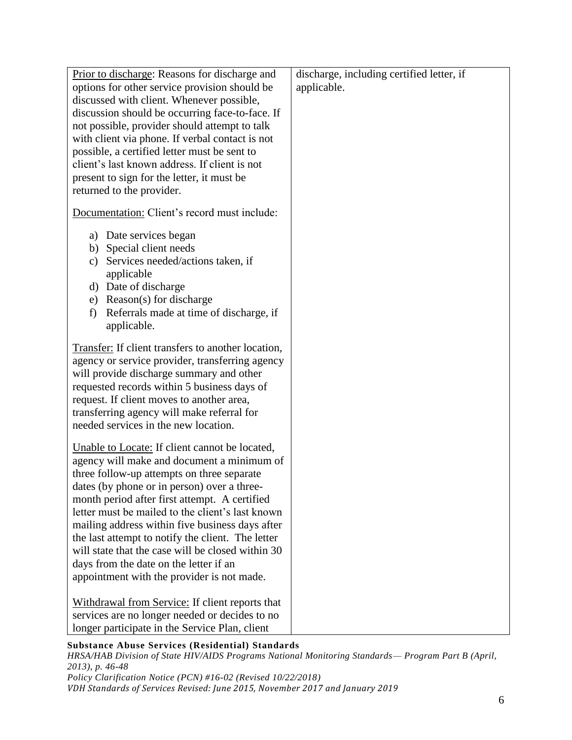| Prior to discharge: Reasons for discharge and<br>options for other service provision should be<br>discussed with client. Whenever possible,<br>discussion should be occurring face-to-face. If<br>not possible, provider should attempt to talk<br>with client via phone. If verbal contact is not<br>possible, a certified letter must be sent to<br>client's last known address. If client is not<br>present to sign for the letter, it must be<br>returned to the provider.                                                                      | discharge, including certified letter, if<br>applicable. |
|-----------------------------------------------------------------------------------------------------------------------------------------------------------------------------------------------------------------------------------------------------------------------------------------------------------------------------------------------------------------------------------------------------------------------------------------------------------------------------------------------------------------------------------------------------|----------------------------------------------------------|
| Documentation: Client's record must include:                                                                                                                                                                                                                                                                                                                                                                                                                                                                                                        |                                                          |
| a) Date services began<br>b) Special client needs<br>Services needed/actions taken, if<br>c)<br>applicable<br>d) Date of discharge<br>e) Reason(s) for discharge<br>Referrals made at time of discharge, if<br>f)<br>applicable.                                                                                                                                                                                                                                                                                                                    |                                                          |
| Transfer: If client transfers to another location,<br>agency or service provider, transferring agency<br>will provide discharge summary and other<br>requested records within 5 business days of<br>request. If client moves to another area,<br>transferring agency will make referral for<br>needed services in the new location.                                                                                                                                                                                                                 |                                                          |
| Unable to Locate: If client cannot be located,<br>agency will make and document a minimum of<br>three follow-up attempts on three separate<br>dates (by phone or in person) over a three-<br>month period after first attempt. A certified<br>letter must be mailed to the client's last known<br>mailing address within five business days after<br>the last attempt to notify the client. The letter<br>will state that the case will be closed within 30<br>days from the date on the letter if an<br>appointment with the provider is not made. |                                                          |
| Withdrawal from Service: If client reports that<br>services are no longer needed or decides to no<br>longer participate in the Service Plan, client                                                                                                                                                                                                                                                                                                                                                                                                 |                                                          |

*HRSA/HAB Division of State HIV/AIDS Programs National Monitoring Standards— Program Part B (April, 2013), p. 46-48 Policy Clarification Notice (PCN) #16-02 (Revised 10/22/2018)*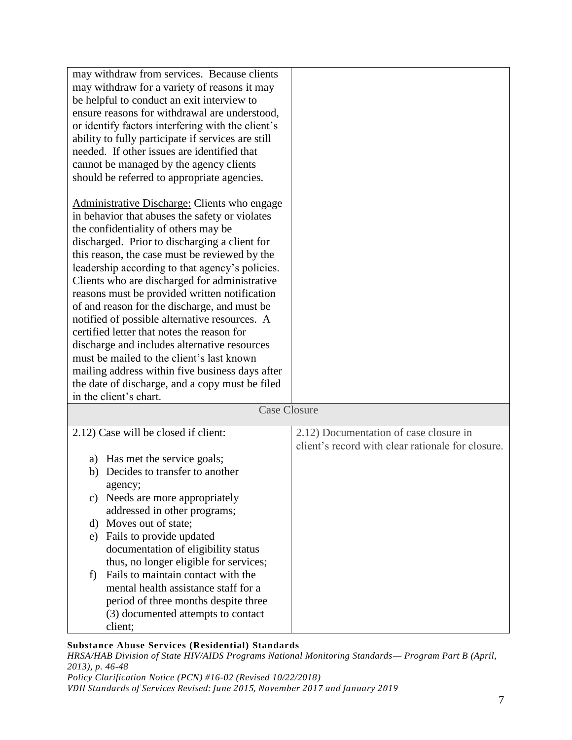| may withdraw from services. Because clients        |                                                   |
|----------------------------------------------------|---------------------------------------------------|
| may withdraw for a variety of reasons it may       |                                                   |
| be helpful to conduct an exit interview to         |                                                   |
| ensure reasons for withdrawal are understood,      |                                                   |
| or identify factors interfering with the client's  |                                                   |
| ability to fully participate if services are still |                                                   |
| needed. If other issues are identified that        |                                                   |
| cannot be managed by the agency clients            |                                                   |
| should be referred to appropriate agencies.        |                                                   |
|                                                    |                                                   |
| Administrative Discharge: Clients who engage       |                                                   |
| in behavior that abuses the safety or violates     |                                                   |
| the confidentiality of others may be               |                                                   |
| discharged. Prior to discharging a client for      |                                                   |
| this reason, the case must be reviewed by the      |                                                   |
| leadership according to that agency's policies.    |                                                   |
| Clients who are discharged for administrative      |                                                   |
| reasons must be provided written notification      |                                                   |
| of and reason for the discharge, and must be       |                                                   |
| notified of possible alternative resources. A      |                                                   |
| certified letter that notes the reason for         |                                                   |
| discharge and includes alternative resources       |                                                   |
| must be mailed to the client's last known          |                                                   |
| mailing address within five business days after    |                                                   |
| the date of discharge, and a copy must be filed    |                                                   |
| in the client's chart.                             |                                                   |
| <b>Case Closure</b>                                |                                                   |
| 2.12) Case will be closed if client:               | 2.12) Documentation of case closure in            |
|                                                    | client's record with clear rationale for closure. |
| Has met the service goals;<br>a)                   |                                                   |
| Decides to transfer to another<br>b)               |                                                   |
| agency;                                            |                                                   |
| Needs are more appropriately<br>c)                 |                                                   |
| addressed in other programs;                       |                                                   |
| d) Moves out of state;                             |                                                   |
| Fails to provide updated<br>e)                     |                                                   |
| documentation of eligibility status                |                                                   |
| thus, no longer eligible for services;             |                                                   |
| Fails to maintain contact with the<br>f)           |                                                   |
| mental health assistance staff for a               |                                                   |
| period of three months despite three               |                                                   |
| (3) documented attempts to contact                 |                                                   |
| client;                                            |                                                   |

*HRSA/HAB Division of State HIV/AIDS Programs National Monitoring Standards— Program Part B (April, 2013), p. 46-48 Policy Clarification Notice (PCN) #16-02 (Revised 10/22/2018)*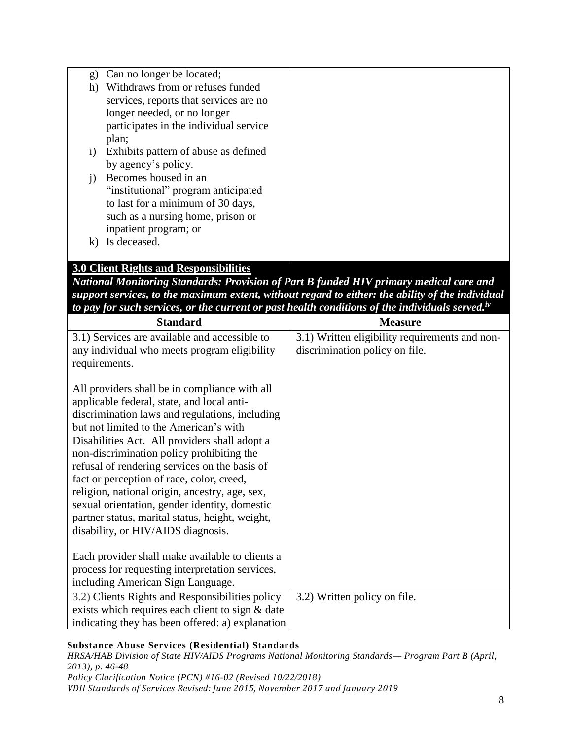| g)        | Can no longer be located;              |  |
|-----------|----------------------------------------|--|
| h)        | Withdraws from or refuses funded       |  |
|           | services, reports that services are no |  |
|           | longer needed, or no longer            |  |
|           | participates in the individual service |  |
|           | plan;                                  |  |
| $\bf{1)}$ | Exhibits pattern of abuse as defined   |  |
|           | by agency's policy.                    |  |
| 1)        | Becomes housed in an                   |  |
|           | "institutional" program anticipated    |  |
|           | to last for a minimum of 30 days,      |  |
|           | such as a nursing home, prison or      |  |
|           | inpatient program; or                  |  |
| k)        | Is deceased.                           |  |
|           |                                        |  |

# **3.0 Client Rights and Responsibilities**

*National Monitoring Standards: Provision of Part B funded HIV primary medical care and support services, to the maximum extent, without regard to either: the ability of the individual to pay for such services, or the current or past health conditions of the individuals served.iv*

| <b>Standard</b>                                                                                                                                                                                                                                                                                                                                                                                                                                                                                                                                                                 | <b>Measure</b>                                 |
|---------------------------------------------------------------------------------------------------------------------------------------------------------------------------------------------------------------------------------------------------------------------------------------------------------------------------------------------------------------------------------------------------------------------------------------------------------------------------------------------------------------------------------------------------------------------------------|------------------------------------------------|
| 3.1) Services are available and accessible to                                                                                                                                                                                                                                                                                                                                                                                                                                                                                                                                   | 3.1) Written eligibility requirements and non- |
| any individual who meets program eligibility                                                                                                                                                                                                                                                                                                                                                                                                                                                                                                                                    | discrimination policy on file.                 |
| requirements.                                                                                                                                                                                                                                                                                                                                                                                                                                                                                                                                                                   |                                                |
| All providers shall be in compliance with all<br>applicable federal, state, and local anti-<br>discrimination laws and regulations, including<br>but not limited to the American's with<br>Disabilities Act. All providers shall adopt a<br>non-discrimination policy prohibiting the<br>refusal of rendering services on the basis of<br>fact or perception of race, color, creed,<br>religion, national origin, ancestry, age, sex,<br>sexual orientation, gender identity, domestic<br>partner status, marital status, height, weight,<br>disability, or HIV/AIDS diagnosis. |                                                |
| Each provider shall make available to clients a                                                                                                                                                                                                                                                                                                                                                                                                                                                                                                                                 |                                                |
| process for requesting interpretation services,                                                                                                                                                                                                                                                                                                                                                                                                                                                                                                                                 |                                                |
| including American Sign Language.                                                                                                                                                                                                                                                                                                                                                                                                                                                                                                                                               |                                                |
| 3.2) Clients Rights and Responsibilities policy                                                                                                                                                                                                                                                                                                                                                                                                                                                                                                                                 | 3.2) Written policy on file.                   |
| exists which requires each client to sign & date                                                                                                                                                                                                                                                                                                                                                                                                                                                                                                                                |                                                |
| indicating they has been offered: a) explanation                                                                                                                                                                                                                                                                                                                                                                                                                                                                                                                                |                                                |

## **Substance Abuse Services (Residential) Standards**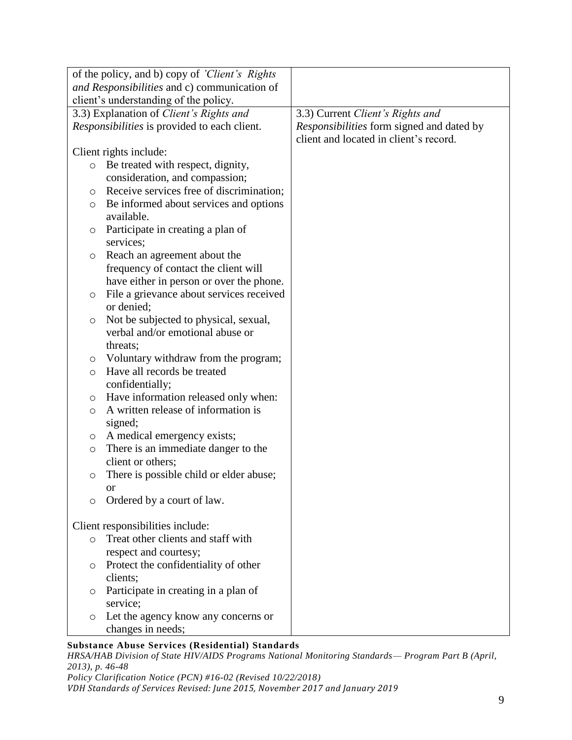|         | of the policy, and b) copy of 'Client's Rights |                                           |
|---------|------------------------------------------------|-------------------------------------------|
|         | and Responsibilities and c) communication of   |                                           |
|         | client's understanding of the policy.          |                                           |
|         | 3.3) Explanation of Client's Rights and        | 3.3) Current Client's Rights and          |
|         | Responsibilities is provided to each client.   | Responsibilities form signed and dated by |
|         |                                                | client and located in client's record.    |
|         | Client rights include:                         |                                           |
| $\circ$ | Be treated with respect, dignity,              |                                           |
|         | consideration, and compassion;                 |                                           |
| $\circ$ | Receive services free of discrimination;       |                                           |
| O       | Be informed about services and options         |                                           |
|         | available.                                     |                                           |
| O       | Participate in creating a plan of              |                                           |
|         | services;                                      |                                           |
| O       | Reach an agreement about the                   |                                           |
|         | frequency of contact the client will           |                                           |
|         | have either in person or over the phone.       |                                           |
| $\circ$ | File a grievance about services received       |                                           |
|         | or denied;                                     |                                           |
| $\circ$ | Not be subjected to physical, sexual,          |                                           |
|         | verbal and/or emotional abuse or               |                                           |
|         | threats;                                       |                                           |
| $\circ$ | Voluntary withdraw from the program;           |                                           |
| $\circ$ | Have all records be treated                    |                                           |
|         | confidentially;                                |                                           |
| $\circ$ | Have information released only when:           |                                           |
| $\circ$ | A written release of information is            |                                           |
|         | signed;                                        |                                           |
| O       | A medical emergency exists;                    |                                           |
| $\circ$ | There is an immediate danger to the            |                                           |
|         | client or others;                              |                                           |
| $\circ$ | There is possible child or elder abuse;        |                                           |
|         | or                                             |                                           |
| $\circ$ | Ordered by a court of law.                     |                                           |
|         |                                                |                                           |
|         | Client responsibilities include:               |                                           |
| $\circ$ | Treat other clients and staff with             |                                           |
|         | respect and courtesy;                          |                                           |
| $\circ$ | Protect the confidentiality of other           |                                           |
|         | clients;                                       |                                           |
| O       | Participate in creating in a plan of           |                                           |
|         | service;                                       |                                           |
| $\circ$ | Let the agency know any concerns or            |                                           |
|         | changes in needs;                              |                                           |

*HRSA/HAB Division of State HIV/AIDS Programs National Monitoring Standards— Program Part B (April, 2013), p. 46-48 Policy Clarification Notice (PCN) #16-02 (Revised 10/22/2018)*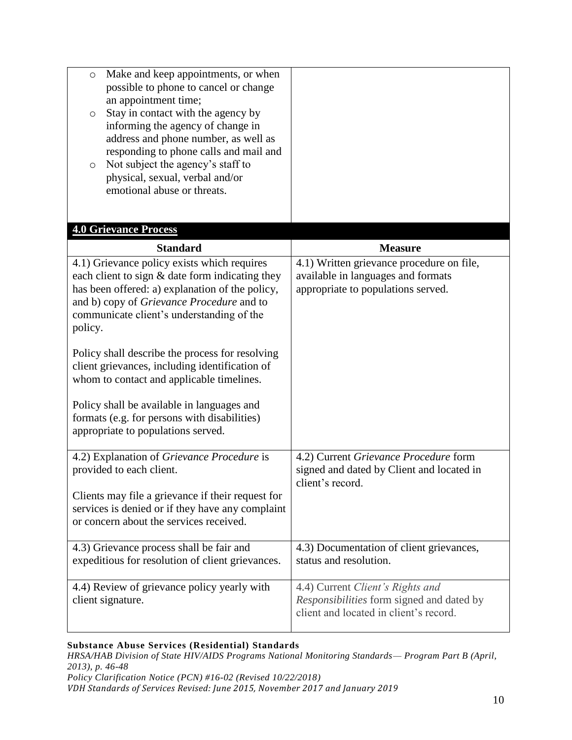| Make and keep appointments, or when<br>$\circ$<br>possible to phone to cancel or change<br>an appointment time;<br>Stay in contact with the agency by<br>O<br>informing the agency of change in<br>address and phone number, as well as<br>responding to phone calls and mail and<br>Not subject the agency's staff to<br>$\circ$<br>physical, sexual, verbal and/or<br>emotional abuse or threats. |                                                                                    |
|-----------------------------------------------------------------------------------------------------------------------------------------------------------------------------------------------------------------------------------------------------------------------------------------------------------------------------------------------------------------------------------------------------|------------------------------------------------------------------------------------|
| <b>4.0 Grievance Process</b>                                                                                                                                                                                                                                                                                                                                                                        |                                                                                    |
| <b>Standard</b>                                                                                                                                                                                                                                                                                                                                                                                     | <b>Measure</b>                                                                     |
| $\overline{4.1}$ ) Grievance policy exists which requires<br>each client to sign & date form indicating they                                                                                                                                                                                                                                                                                        | 4.1) Written grievance procedure on file,<br>available in languages and formats    |
| has been offered: a) explanation of the policy,                                                                                                                                                                                                                                                                                                                                                     | appropriate to populations served.                                                 |
| and b) copy of Grievance Procedure and to                                                                                                                                                                                                                                                                                                                                                           |                                                                                    |
| communicate client's understanding of the                                                                                                                                                                                                                                                                                                                                                           |                                                                                    |
| policy.                                                                                                                                                                                                                                                                                                                                                                                             |                                                                                    |
| Policy shall describe the process for resolving                                                                                                                                                                                                                                                                                                                                                     |                                                                                    |
| client grievances, including identification of                                                                                                                                                                                                                                                                                                                                                      |                                                                                    |
| whom to contact and applicable timelines.                                                                                                                                                                                                                                                                                                                                                           |                                                                                    |
| Policy shall be available in languages and                                                                                                                                                                                                                                                                                                                                                          |                                                                                    |
| formats (e.g. for persons with disabilities)                                                                                                                                                                                                                                                                                                                                                        |                                                                                    |
| appropriate to populations served.                                                                                                                                                                                                                                                                                                                                                                  |                                                                                    |
|                                                                                                                                                                                                                                                                                                                                                                                                     |                                                                                    |
| 4.2) Explanation of Grievance Procedure is<br>provided to each client.                                                                                                                                                                                                                                                                                                                              | 4.2) Current Grievance Procedure form<br>signed and dated by Client and located in |
|                                                                                                                                                                                                                                                                                                                                                                                                     | client's record.                                                                   |
| Clients may file a grievance if their request for                                                                                                                                                                                                                                                                                                                                                   |                                                                                    |
| services is denied or if they have any complaint<br>or concern about the services received.                                                                                                                                                                                                                                                                                                         |                                                                                    |
|                                                                                                                                                                                                                                                                                                                                                                                                     |                                                                                    |
| 4.3) Grievance process shall be fair and                                                                                                                                                                                                                                                                                                                                                            | 4.3) Documentation of client grievances,                                           |
| expeditious for resolution of client grievances.                                                                                                                                                                                                                                                                                                                                                    | status and resolution.                                                             |
| 4.4) Review of grievance policy yearly with                                                                                                                                                                                                                                                                                                                                                         | 4.4) Current Client's Rights and                                                   |
| client signature.                                                                                                                                                                                                                                                                                                                                                                                   | Responsibilities form signed and dated by                                          |
|                                                                                                                                                                                                                                                                                                                                                                                                     | client and located in client's record.                                             |
|                                                                                                                                                                                                                                                                                                                                                                                                     |                                                                                    |

*HRSA/HAB Division of State HIV/AIDS Programs National Monitoring Standards— Program Part B (April, 2013), p. 46-48 Policy Clarification Notice (PCN) #16-02 (Revised 10/22/2018)*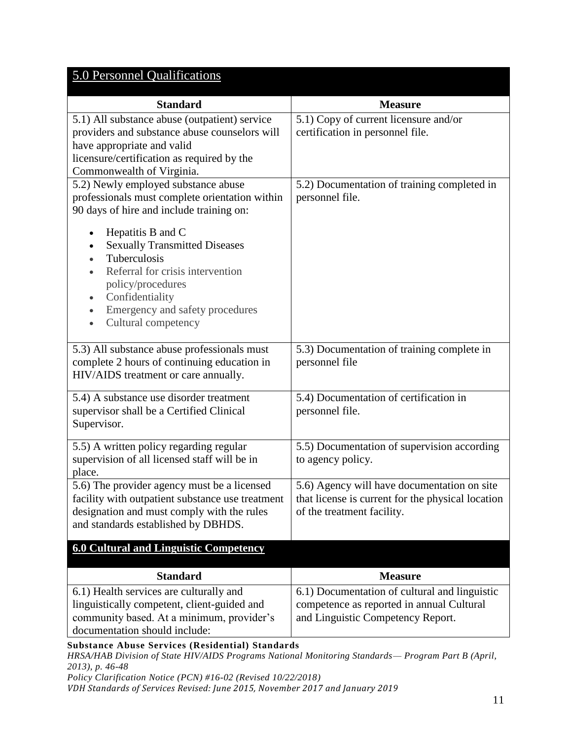# 5.0 Personnel Qualifications

| <b>Standard</b>                                                                                                                                                                                                                                                                                                                                                                             | <b>Measure</b>                                                                                                                  |
|---------------------------------------------------------------------------------------------------------------------------------------------------------------------------------------------------------------------------------------------------------------------------------------------------------------------------------------------------------------------------------------------|---------------------------------------------------------------------------------------------------------------------------------|
| 5.1) All substance abuse (outpatient) service<br>providers and substance abuse counselors will<br>have appropriate and valid<br>licensure/certification as required by the<br>Commonwealth of Virginia.                                                                                                                                                                                     | 5.1) Copy of current licensure and/or<br>certification in personnel file.                                                       |
| 5.2) Newly employed substance abuse<br>professionals must complete orientation within<br>90 days of hire and include training on:<br>Hepatitis B and C<br><b>Sexually Transmitted Diseases</b><br>Tuberculosis<br>Referral for crisis intervention<br>policy/procedures<br>Confidentiality<br>$\bullet$<br>Emergency and safety procedures<br>$\bullet$<br>Cultural competency<br>$\bullet$ | 5.2) Documentation of training completed in<br>personnel file.                                                                  |
| 5.3) All substance abuse professionals must<br>complete 2 hours of continuing education in<br>HIV/AIDS treatment or care annually.                                                                                                                                                                                                                                                          | 5.3) Documentation of training complete in<br>personnel file                                                                    |
| 5.4) A substance use disorder treatment<br>supervisor shall be a Certified Clinical<br>Supervisor.                                                                                                                                                                                                                                                                                          | 5.4) Documentation of certification in<br>personnel file.                                                                       |
| 5.5) A written policy regarding regular<br>supervision of all licensed staff will be in<br>place.                                                                                                                                                                                                                                                                                           | 5.5) Documentation of supervision according<br>to agency policy.                                                                |
| 5.6) The provider agency must be a licensed<br>facility with outpatient substance use treatment<br>designation and must comply with the rules<br>and standards established by DBHDS.                                                                                                                                                                                                        | 5.6) Agency will have documentation on site<br>that license is current for the physical location<br>of the treatment facility.  |
| <b>6.0 Cultural and Linguistic Competency</b>                                                                                                                                                                                                                                                                                                                                               |                                                                                                                                 |
| <b>Standard</b>                                                                                                                                                                                                                                                                                                                                                                             | <b>Measure</b>                                                                                                                  |
| 6.1) Health services are culturally and<br>linguistically competent, client-guided and<br>community based. At a minimum, provider's<br>documentation should include:                                                                                                                                                                                                                        | 6.1) Documentation of cultural and linguistic<br>competence as reported in annual Cultural<br>and Linguistic Competency Report. |

**Substance Abuse Services (Residential) Standards** *HRSA/HAB Division of State HIV/AIDS Programs National Monitoring Standards— Program Part B (April, 2013), p. 46-48 Policy Clarification Notice (PCN) #16-02 (Revised 10/22/2018)*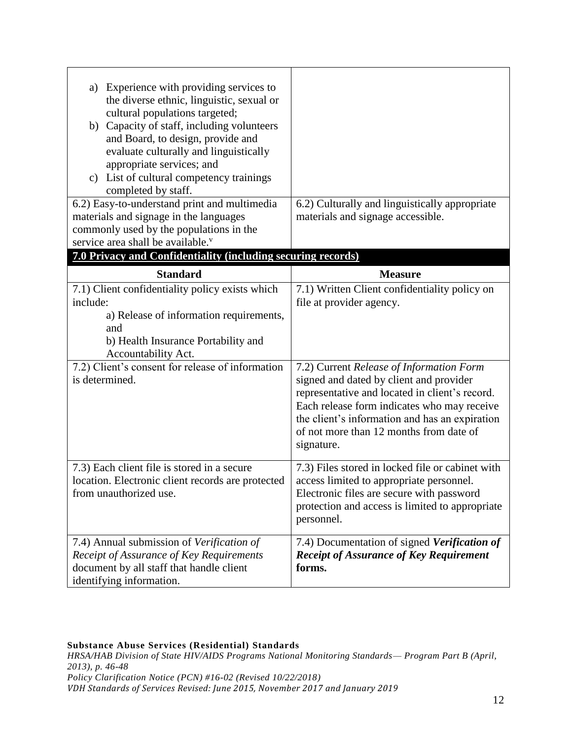| Experience with providing services to<br>a)<br>the diverse ethnic, linguistic, sexual or<br>cultural populations targeted;<br>b) Capacity of staff, including volunteers<br>and Board, to design, provide and<br>evaluate culturally and linguistically<br>appropriate services; and<br>List of cultural competency trainings<br>$\mathbf{c}$ )<br>completed by staff.<br>6.2) Easy-to-understand print and multimedia | 6.2) Culturally and linguistically appropriate                                                                                                                                                                                                                                                                                                                               |
|------------------------------------------------------------------------------------------------------------------------------------------------------------------------------------------------------------------------------------------------------------------------------------------------------------------------------------------------------------------------------------------------------------------------|------------------------------------------------------------------------------------------------------------------------------------------------------------------------------------------------------------------------------------------------------------------------------------------------------------------------------------------------------------------------------|
| materials and signage in the languages<br>commonly used by the populations in the<br>service area shall be available. <sup>v</sup>                                                                                                                                                                                                                                                                                     | materials and signage accessible.                                                                                                                                                                                                                                                                                                                                            |
| 7.0 Privacy and Confidentiality (including securing records)                                                                                                                                                                                                                                                                                                                                                           |                                                                                                                                                                                                                                                                                                                                                                              |
| <b>Standard</b>                                                                                                                                                                                                                                                                                                                                                                                                        | <b>Measure</b>                                                                                                                                                                                                                                                                                                                                                               |
| 7.1) Client confidentiality policy exists which<br>include:<br>a) Release of information requirements,<br>and<br>b) Health Insurance Portability and<br>Accountability Act.<br>7.2) Client's consent for release of information<br>is determined.                                                                                                                                                                      | 7.1) Written Client confidentiality policy on<br>file at provider agency.<br>7.2) Current Release of Information Form<br>signed and dated by client and provider<br>representative and located in client's record.<br>Each release form indicates who may receive<br>the client's information and has an expiration<br>of not more than 12 months from date of<br>signature. |
| 7.3) Each client file is stored in a secure<br>location. Electronic client records are protected<br>from unauthorized use.                                                                                                                                                                                                                                                                                             | 7.3) Files stored in locked file or cabinet with<br>access limited to appropriate personnel.<br>Electronic files are secure with password<br>protection and access is limited to appropriate<br>personnel.                                                                                                                                                                   |
| 7.4) Annual submission of Verification of<br>Receipt of Assurance of Key Requirements<br>document by all staff that handle client<br>identifying information.                                                                                                                                                                                                                                                          | 7.4) Documentation of signed Verification of<br><b>Receipt of Assurance of Key Requirement</b><br>forms.                                                                                                                                                                                                                                                                     |